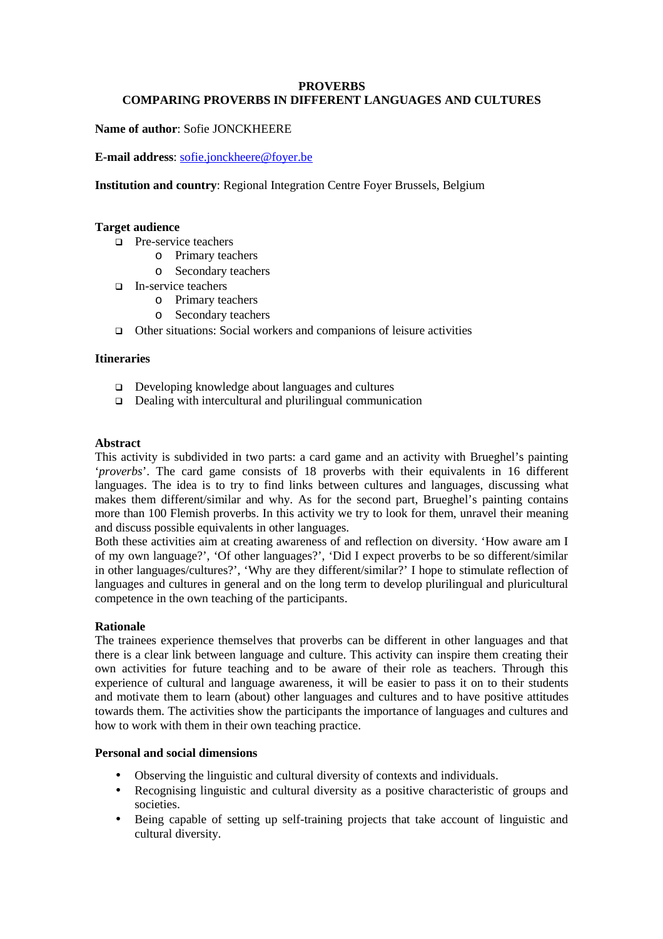### **PROVERBS COMPARING PROVERBS IN DIFFERENT LANGUAGES AND CULTURES**

**Name of author**: Sofie JONCKHEERE

**E-mail address**: sofie.jonckheere@foyer.be

**Institution and country**: Regional Integration Centre Foyer Brussels, Belgium

#### **Target audience**

- **Pre-service teachers** 
	- o Primary teachers
	- o Secondary teachers
- In-service teachers
	- o Primary teachers
	- o Secondary teachers
- Other situations: Social workers and companions of leisure activities

### **Itineraries**

- $\Box$  Developing knowledge about languages and cultures
- $\Box$  Dealing with intercultural and plurilingual communication

#### **Abstract**

This activity is subdivided in two parts: a card game and an activity with Brueghel's painting '*proverbs*'. The card game consists of 18 proverbs with their equivalents in 16 different languages. The idea is to try to find links between cultures and languages, discussing what makes them different/similar and why. As for the second part, Brueghel's painting contains more than 100 Flemish proverbs. In this activity we try to look for them, unravel their meaning and discuss possible equivalents in other languages.

Both these activities aim at creating awareness of and reflection on diversity. 'How aware am I of my own language?', 'Of other languages?', 'Did I expect proverbs to be so different/similar in other languages/cultures?', 'Why are they different/similar?' I hope to stimulate reflection of languages and cultures in general and on the long term to develop plurilingual and pluricultural competence in the own teaching of the participants.

### **Rationale**

The trainees experience themselves that proverbs can be different in other languages and that there is a clear link between language and culture. This activity can inspire them creating their own activities for future teaching and to be aware of their role as teachers. Through this experience of cultural and language awareness, it will be easier to pass it on to their students and motivate them to learn (about) other languages and cultures and to have positive attitudes towards them. The activities show the participants the importance of languages and cultures and how to work with them in their own teaching practice.

### **Personal and social dimensions**

- Observing the linguistic and cultural diversity of contexts and individuals.
- Recognising linguistic and cultural diversity as a positive characteristic of groups and societies.
- Being capable of setting up self-training projects that take account of linguistic and cultural diversity.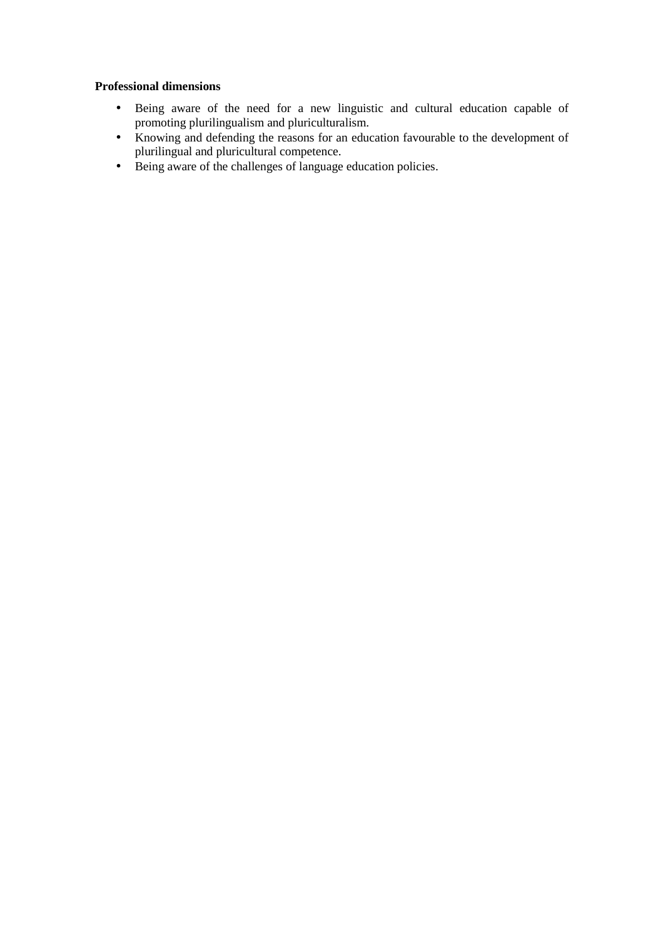### **Professional dimensions**

- Being aware of the need for a new linguistic and cultural education capable of promoting plurilingualism and pluriculturalism.
- Knowing and defending the reasons for an education favourable to the development of plurilingual and pluricultural competence.
- Being aware of the challenges of language education policies.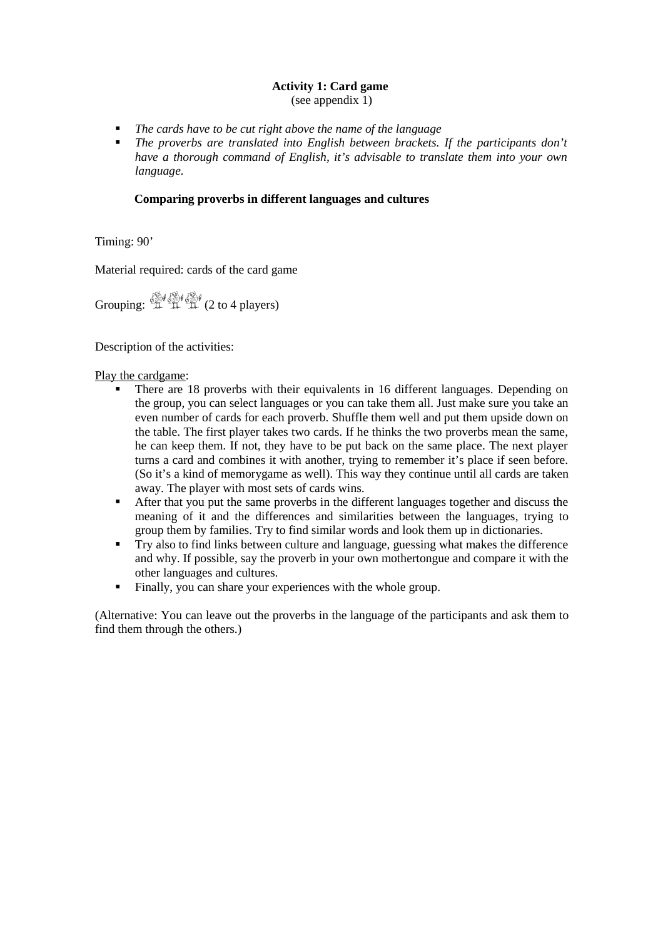#### **Activity 1: Card game**  (see appendix 1)

- -*The cards have to be cut right above the name of the language*
- *The proverbs are translated into English between brackets. If the participants don't have a thorough command of English, it's advisable to translate them into your own language.*

### **Comparing proverbs in different languages and cultures**

Timing: 90'

Material required: cards of the card game

Grouping:  $\mathbb{C}^{\mathbb{C}}$   $\mathbb{C}^{\mathbb{C}}$   $\mathbb{C}^{\mathbb{C}}$  (2 to 4 players)

### Description of the activities:

Play the cardgame:

- - There are 18 proverbs with their equivalents in 16 different languages. Depending on the group, you can select languages or you can take them all. Just make sure you take an even number of cards for each proverb. Shuffle them well and put them upside down on the table. The first player takes two cards. If he thinks the two proverbs mean the same, he can keep them. If not, they have to be put back on the same place. The next player turns a card and combines it with another, trying to remember it's place if seen before. (So it's a kind of memorygame as well). This way they continue until all cards are taken away. The player with most sets of cards wins.
- - After that you put the same proverbs in the different languages together and discuss the meaning of it and the differences and similarities between the languages, trying to group them by families. Try to find similar words and look them up in dictionaries.
- - Try also to find links between culture and language, guessing what makes the difference and why. If possible, say the proverb in your own mothertongue and compare it with the other languages and cultures.
- -Finally, you can share your experiences with the whole group.

(Alternative: You can leave out the proverbs in the language of the participants and ask them to find them through the others.)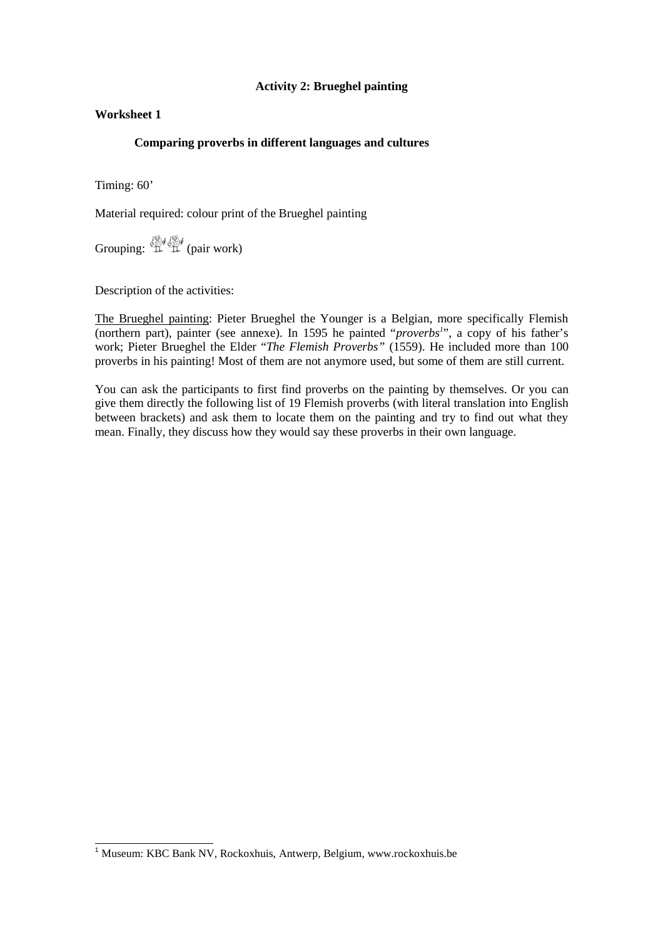### **Activity 2: Brueghel painting**

### **Worksheet 1**

### **Comparing proverbs in different languages and cultures**

Timing: 60'

Material required: colour print of the Brueghel painting

Grouping:  $\mathbb{R}$  (pair work)

Description of the activities:

The Brueghel painting: Pieter Brueghel the Younger is a Belgian, more specifically Flemish (northern part), painter (see annexe). In 1595 he painted "*proverbs<sup>1</sup>* ", a copy of his father's work; Pieter Brueghel the Elder "*The Flemish Proverbs"* (1559). He included more than 100 proverbs in his painting! Most of them are not anymore used, but some of them are still current.

You can ask the participants to first find proverbs on the painting by themselves. Or you can give them directly the following list of 19 Flemish proverbs (with literal translation into English between brackets) and ask them to locate them on the painting and try to find out what they mean. Finally, they discuss how they would say these proverbs in their own language.

<sup>1</sup> Museum: KBC Bank NV, Rockoxhuis, Antwerp, Belgium, www.rockoxhuis.be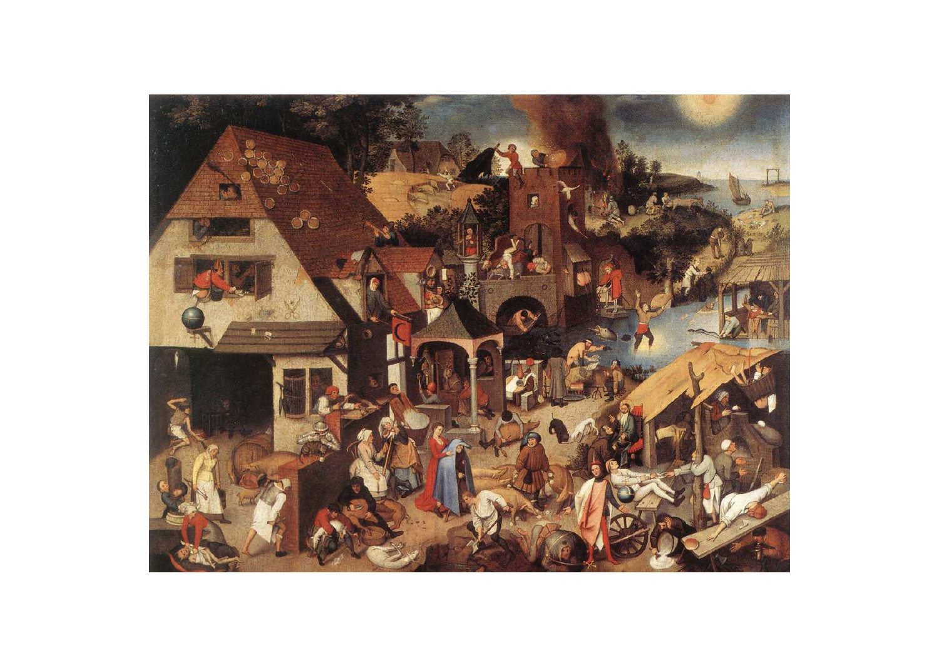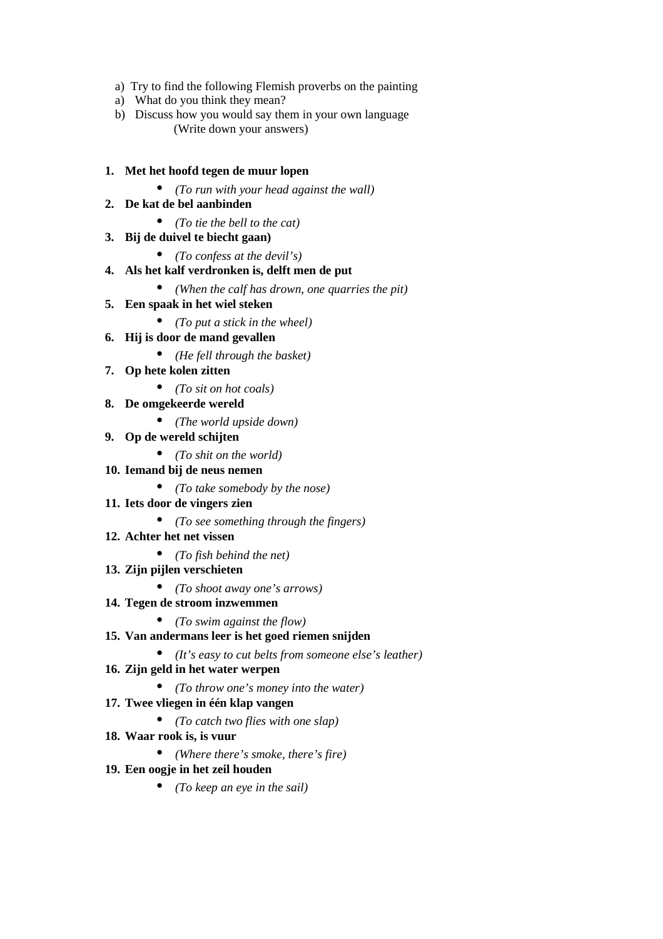- a) Try to find the following Flemish proverbs on the painting
- a) What do you think they mean?
- b) Discuss how you would say them in your own language (Write down your answers)

### **1. Met het hoofd tegen de muur lopen**

- *(To run with your head against the wall)*
- **2. De kat de bel aanbinden** 
	- *(To tie the bell to the cat)*
- **3. Bij de duivel te biecht gaan)**
	- *(To confess at the devil's)*
- **4. Als het kalf verdronken is, delft men de put** 
	- *(When the calf has drown, one quarries the pit)*
- **5. Een spaak in het wiel steken** 
	- *(To put a stick in the wheel)*
- **6. Hij is door de mand gevallen** 
	- *(He fell through the basket)*
- **7. Op hete kolen zitten** 
	- *(To sit on hot coals)*
- **8. De omgekeerde wereld** 
	- *(The world upside down)*
- **9. Op de wereld schijten** 
	- *(To shit on the world)*
- **10. Iemand bij de neus nemen** 
	- *(To take somebody by the nose)*
- **11. Iets door de vingers zien** 
	- *(To see something through the fingers)*
- **12. Achter het net vissen** 
	- *(To fish behind the net)*
- **13. Zijn pijlen verschieten** 
	- *(To shoot away one's arrows)*
- **14. Tegen de stroom inzwemmen** 
	- *(To swim against the flow)*

## **15. Van andermans leer is het goed riemen snijden**

- *(It's easy to cut belts from someone else's leather)*
- **16. Zijn geld in het water werpen** 
	- *(To throw one's money into the water)*
- **17. Twee vliegen in één klap vangen** 
	- *(To catch two flies with one slap)*
- **18. Waar rook is, is vuur** 
	- *(Where there's smoke, there's fire)*
- **19. Een oogje in het zeil houden** 
	- *(To keep an eye in the sail)*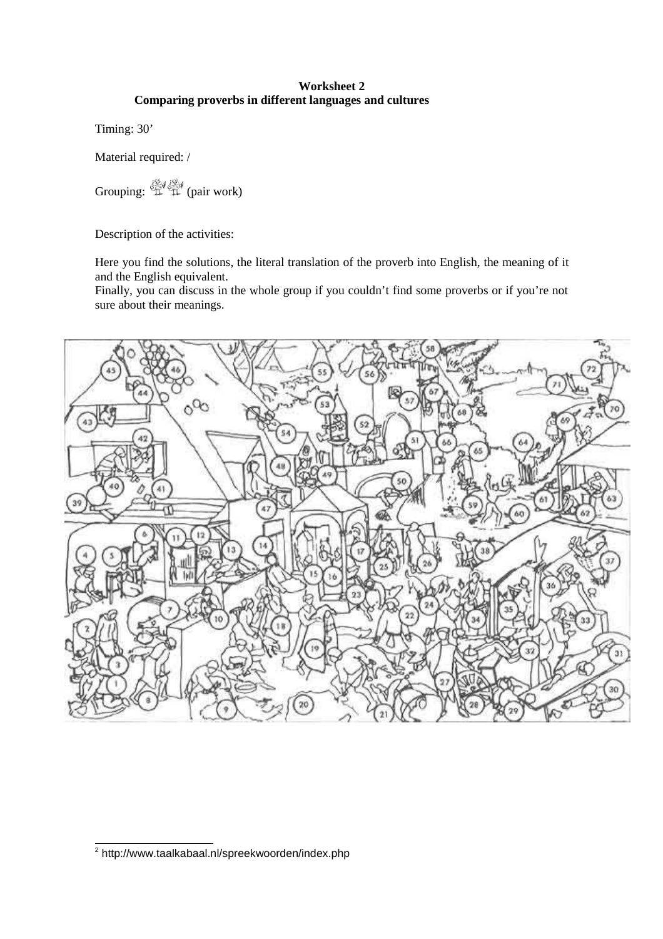### **Worksheet 2 Comparing proverbs in different languages and cultures**

Timing: 30'

Material required: /

Grouping:  $\mathbb{H}$  (pair work)

Description of the activities:

Here you find the solutions, the literal translation of the proverb into English, the meaning of it and the English equivalent.

Finally, you can discuss in the whole group if you couldn't find some proverbs or if you're not sure about their meanings.



<sup>&</sup>lt;sup>2</sup> http://www.taalkabaal.nl/spreekwoorden/index.php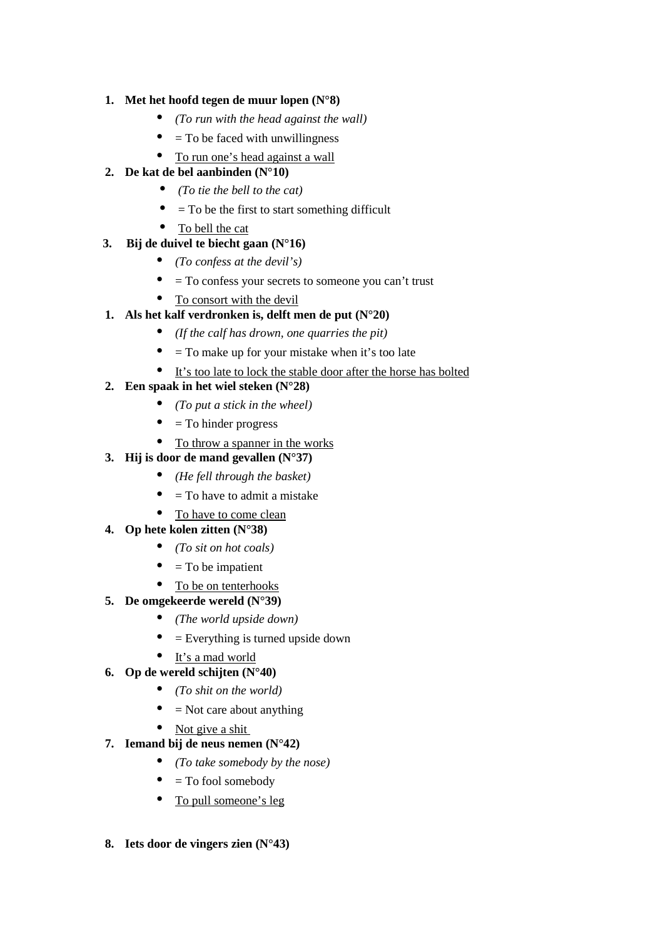## **1. Met het hoofd tegen de muur lopen (N°8)**

- *(To run with the head against the wall)*
- $\bullet$  = To be faced with unwillingness
- To run one's head against a wall

## **2. De kat de bel aanbinden (N°10)**

- *(To tie the bell to the cat)*
- $\bullet$  = To be the first to start something difficult
- To bell the cat
- **3. Bij de duivel te biecht gaan (N°16)**
	- *(To confess at the devil's)*
	- $\bullet$  = To confess your secrets to some one you can't trust
	- To consort with the devil

# **1. Als het kalf verdronken is, delft men de put (N°20)**

- *(If the calf has drown, one quarries the pit)*
- $\bullet$  = To make up for your mistake when it's too late
- It's too late to lock the stable door after the horse has bolted
- **2. Een spaak in het wiel steken (N°28)**
	- *(To put a stick in the wheel)*
	- $\bullet$  = To hinder progress
	- To throw a spanner in the works
- **3. Hij is door de mand gevallen (N°37)**
	- *(He fell through the basket)*
	- $\bullet$  = To have to admit a mistake
	- To have to come clean

## **4. Op hete kolen zitten (N°38)**

- *(To sit on hot coals)*
- $\bullet$  = To be impatient
- To be on tenterhooks
- **5. De omgekeerde wereld (N°39)**
	- *(The world upside down)*
	- $\bullet$  = Everything is turned upside down
	- It's a mad world
- **6. Op de wereld schijten (N°40)**
	- *(To shit on the world)*
	- $\bullet$  = Not care about anything
	- Not give a shit
- **7. Iemand bij de neus nemen (N°42)**
	- *(To take somebody by the nose)*
	- $\bullet$  = To fool somebody
	- To pull someone's leg
- **8. Iets door de vingers zien (N°43)**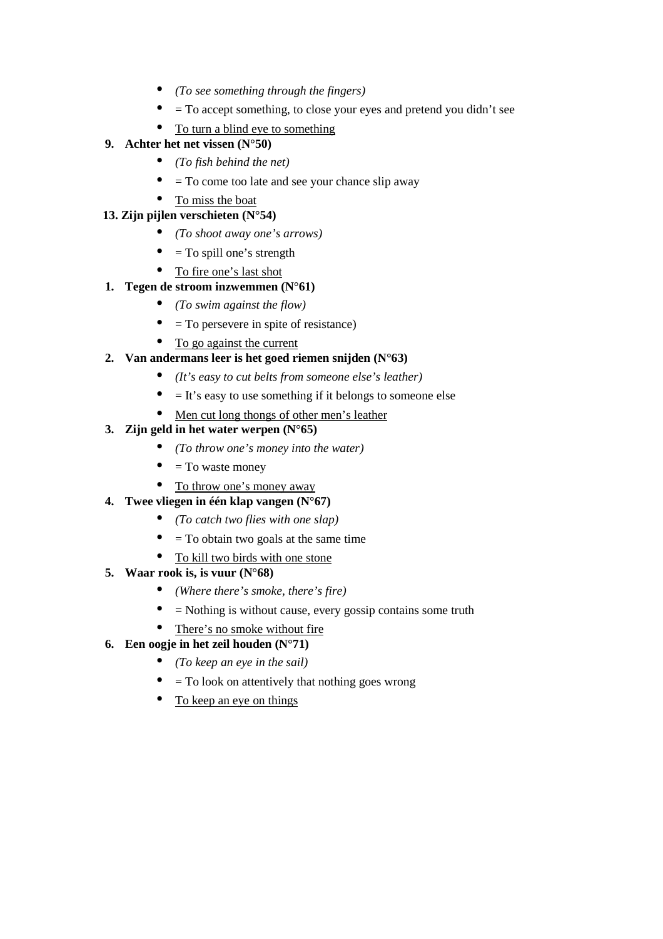- *(To see something through the fingers)*
- $\bullet$  = To accept something, to close your eyes and pretend you didn't see
- To turn a blind eye to something
- **9. Achter het net vissen (N°50)**
	- *(To fish behind the net)*
	- $\bullet$  = To come too late and see your chance slip away
	- To miss the boat

# **13. Zijn pijlen verschieten (N°54)**

- *(To shoot away one's arrows)*
- $\bullet$  = To spill one's strength
- To fire one's last shot

# **1. Tegen de stroom inzwemmen (N°61)**

- *(To swim against the flow)*
- $\bullet$  = To persevere in spite of resistance)
- To go against the current

# **2. Van andermans leer is het goed riemen snijden (N°63)**

- *(It's easy to cut belts from someone else's leather)*
- $\bullet$  = It's easy to use something if it belongs to someone else
- Men cut long thongs of other men's leather

# **3. Zijn geld in het water werpen (N°65)**

- *(To throw one's money into the water)*
- $\bullet$  = To waste money
- To throw one's money away
- **4. Twee vliegen in één klap vangen (N°67)**
	- *(To catch two flies with one slap)*
	- $\bullet$  = To obtain two goals at the same time
	- To kill two birds with one stone
- **5. Waar rook is, is vuur (N°68)**
	- *(Where there's smoke, there's fire)*
	- $\bullet$  = Nothing is without cause, every gossip contains some truth
	- There's no smoke without fire
- **6. Een oogje in het zeil houden (N°71)**
	- *(To keep an eye in the sail)*
	- $\bullet$  = To look on attentively that nothing goes wrong
	- To keep an eye on things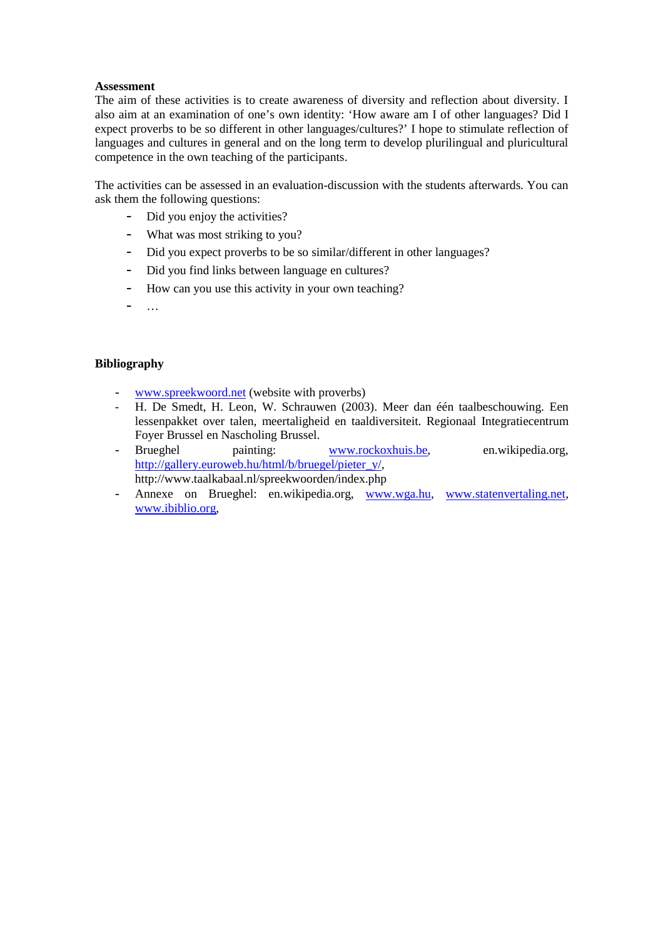### **Assessment**

The aim of these activities is to create awareness of diversity and reflection about diversity. I also aim at an examination of one's own identity: 'How aware am I of other languages? Did I expect proverbs to be so different in other languages/cultures?' I hope to stimulate reflection of languages and cultures in general and on the long term to develop plurilingual and pluricultural competence in the own teaching of the participants.

The activities can be assessed in an evaluation-discussion with the students afterwards. You can ask them the following questions:

- Did you enjoy the activities?
- What was most striking to you?
- Did you expect proverbs to be so similar/different in other languages?
- Did you find links between language en cultures?
- How can you use this activity in your own teaching?
- …

### **Bibliography**

- www.spreekwoord.net (website with proverbs)
- H. De Smedt, H. Leon, W. Schrauwen (2003). Meer dan één taalbeschouwing. Een lessenpakket over talen, meertaligheid en taaldiversiteit. Regionaal Integratiecentrum Foyer Brussel en Nascholing Brussel.
- Brueghel painting: www.rockoxhuis.be, en.wikipedia.org, http://gallery.euroweb.hu/html/b/bruegel/pieter\_y/, http://www.taalkabaal.nl/spreekwoorden/index.php
- Annexe on Brueghel: en.wikipedia.org, www.wga.hu, www.statenvertaling.net, www.ibiblio.org,